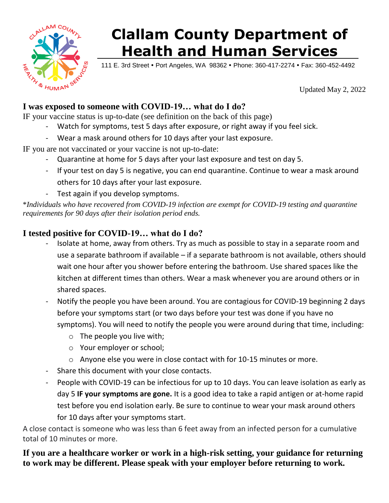

## **Clallam County Department of Health and Human Services**

111 E. 3rd Street • Port Angeles, WA 98362 • Phone: 360-417-2274 • Fax: 360-452-4492

Updated May 2, 2022

## **I was exposed to someone with COVID-19… what do I do?**

IF your vaccine status is up-to-date (see definition on the back of this page)

- Watch for symptoms, test 5 days after exposure, or right away if you feel sick.
- Wear a mask around others for 10 days after your last exposure.

IF you are not vaccinated or your vaccine is not up-to-date:

- Quarantine at home for 5 days after your last exposure and test on day 5.
- If your test on day 5 is negative, you can end quarantine. Continue to wear a mask around others for 10 days after your last exposure.
- Test again if you develop symptoms.

\**Individuals who have recovered from COVID-19 infection are exempt for COVID-19 testing and quarantine requirements for 90 days after their isolation period ends.*

## **I tested positive for COVID-19… what do I do?**

- Isolate at home, away from others. Try as much as possible to stay in a separate room and use a separate bathroom if available – if a separate bathroom is not available, others should wait one hour after you shower before entering the bathroom. Use shared spaces like the kitchen at different times than others. Wear a mask whenever you are around others or in shared spaces.
- Notify the people you have been around. You are contagious for COVID-19 beginning 2 days before your symptoms start (or two days before your test was done if you have no symptoms). You will need to notify the people you were around during that time, including:
	- $\circ$  The people you live with;
	- o Your employer or school;
	- o Anyone else you were in close contact with for 10-15 minutes or more.
- Share this document with your close contacts.
- People with COVID-19 can be infectious for up to 10 days. You can leave isolation as early as day 5 **IF your symptoms are gone.** It is a good idea to take a rapid antigen or at-home rapid test before you end isolation early. Be sure to continue to wear your mask around others for 10 days after your symptoms start.

A close contact is someone who was less than 6 feet away from an infected person for a cumulative total of 10 minutes or more.

**If you are a healthcare worker or work in a high-risk setting, your guidance for returning to work may be different. Please speak with your employer before returning to work.**